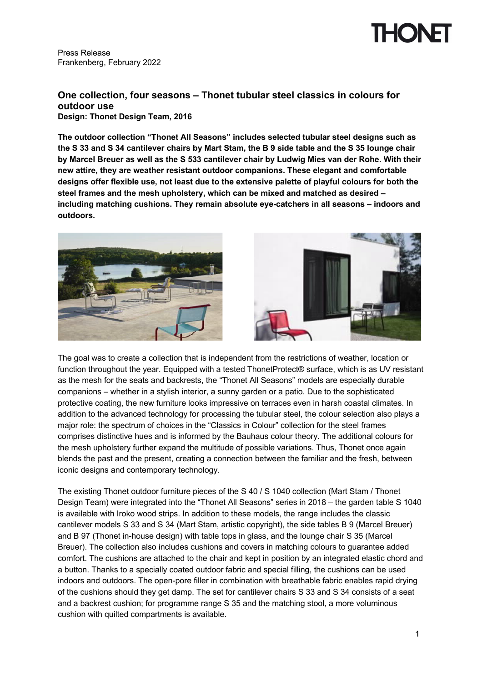### Press Release Frankenberg, February 2022

## **One collection, four seasons – Thonet tubular steel classics in colours for outdoor use**

**Design: Thonet Design Team, 2016**

**The outdoor collection "Thonet All Seasons" includes selected tubular steel designs such as the S 33 and S 34 cantilever chairs by Mart Stam, the B 9 side table and the S 35 lounge chair by Marcel Breuer as well as the S 533 cantilever chair by Ludwig Mies van der Rohe. With their new attire, they are weather resistant outdoor companions. These elegant and comfortable designs offer flexible use, not least due to the extensive palette of playful colours for both the steel frames and the mesh upholstery, which can be mixed and matched as desired – including matching cushions. They remain absolute eye-catchers in all seasons – indoors and outdoors.**





The goal was to create a collection that is independent from the restrictions of weather, location or function throughout the year. Equipped with a tested ThonetProtect<sup>®</sup> surface, which is as UV resistant as the mesh for the seats and backrests, the "Thonet All Seasons" models are especially durable companions – whether in a stylish interior, a sunny garden or a patio. Due to the sophisticated protective coating, the new furniture looks impressive on terraces even in harsh coastal climates. In addition to the advanced technology for processing the tubular steel, the colour selection also plays a major role: the spectrum of choices in the "Classics in Colour" collection for the steel frames comprises distinctive hues and is informed by the Bauhaus colour theory. The additional colours for the mesh upholstery further expand the multitude of possible variations. Thus, Thonet once again blends the past and the present, creating a connection between the familiar and the fresh, between iconic designs and contemporary technology.

The existing Thonet outdoor furniture pieces of the S 40 / S 1040 collection (Mart Stam / Thonet Design Team) were integrated into the "Thonet All Seasons" series in 2018 – the garden table S 1040 is available with Iroko wood strips. In addition to these models, the range includes the classic cantilever models S 33 and S 34 (Mart Stam, artistic copyright), the side tables B 9 (Marcel Breuer) and B 97 (Thonet in-house design) with table tops in glass, and the lounge chair S 35 (Marcel Breuer). The collection also includes cushions and covers in matching colours to guarantee added comfort. The cushions are attached to the chair and kept in position by an integrated elastic chord and a button. Thanks to a specially coated outdoor fabric and special filling, the cushions can be used indoors and outdoors. The open-pore filler in combination with breathable fabric enables rapid drying of the cushions should they get damp. The set for cantilever chairs S 33 and S 34 consists of a seat and a backrest cushion; for programme range S 35 and the matching stool, a more voluminous cushion with quilted compartments is available.

HONEI